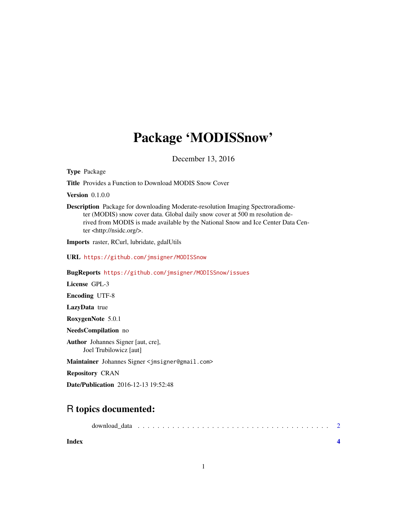## Package 'MODISSnow'

December 13, 2016

Type Package

Title Provides a Function to Download MODIS Snow Cover

**Version** 0.1.0.0

Description Package for downloading Moderate-resolution Imaging Spectroradiometer (MODIS) snow cover data. Global daily snow cover at 500 m resolution derived from MODIS is made available by the National Snow and Ice Center Data Center <http://nsidc.org/>.

Imports raster, RCurl, lubridate, gdalUtils

URL <https://github.com/jmsigner/MODISSnow>

BugReports <https://github.com/jmsigner/MODISSnow/issues>

License GPL-3

Encoding UTF-8

LazyData true

RoxygenNote 5.0.1

NeedsCompilation no

Author Johannes Signer [aut, cre], Joel Trubilowicz [aut]

Maintainer Johannes Signer <jmsigner@gmail.com>

Repository CRAN

Date/Publication 2016-12-13 19:52:48

### R topics documented:

|--|--|--|--|--|--|--|--|--|--|--|--|--|--|--|--|--|--|--|--|--|--|--|--|--|--|--|--|--|--|--|--|--|--|--|--|--|--|--|

**Index** [4](#page-3-0)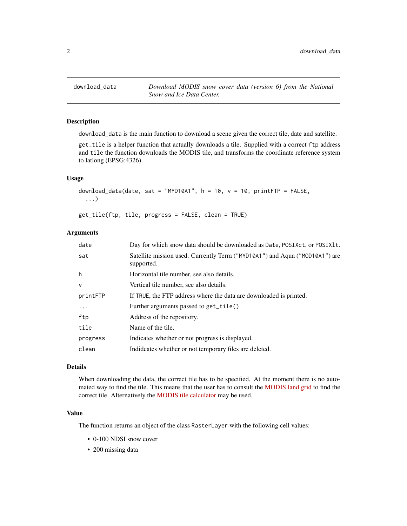<span id="page-1-0"></span>download\_data *Download MODIS snow cover data (version 6) from the National Snow and Ice Data Center.*

#### Description

download\_data is the main function to download a scene given the correct tile, date and satellite.

get\_tile is a helper function that actually downloads a tile. Supplied with a correct ftp address and tile the function downloads the MODIS tile, and transforms the coordinate reference system to latlong (EPSG:4326).

#### Usage

```
download_data(date, sat = "MYD10A1", h = 10, v = 10, printFTP = FALSE,
  ...)
```
get\_tile(ftp, tile, progress = FALSE, clean = TRUE)

#### Arguments

| date     | Day for which snow data should be downloaded as Date, POSIXct, or POSIX1t.                 |
|----------|--------------------------------------------------------------------------------------------|
| sat      | Satellite mission used. Currently Terra ("MYD10A1") and Aqua ("MOD10A1") are<br>supported. |
| h        | Horizontal tile number, see also details.                                                  |
| $\vee$   | Vertical tile number, see also details.                                                    |
| printFTP | If TRUE, the FTP address where the data are downloaded is printed.                         |
| .        | Further arguments passed to get_tile().                                                    |
| ftp      | Address of the repository.                                                                 |
| tile     | Name of the tile.                                                                          |
| progress | Indicates whether or not progress is displayed.                                            |
| clean    | Indideates whether or not temporary files are deleted.                                     |

#### Details

When downloading the data, the correct tile has to be specified. At the moment there is no automated way to find the tile. This means that the user has to consult the [MODIS land grid](http://landweb.nascom.nasa.gov/developers/is_tiles/is_bound_10deg.txt) to find the correct tile. Alternatively the [MODIS tile calculator](http://landweb.nascom.nasa.gov/cgi-bin/developer/tilemap.cgi) may be used.

#### Value

The function returns an object of the class RasterLayer with the following cell values:

- 0-100 NDSI snow cover
- 200 missing data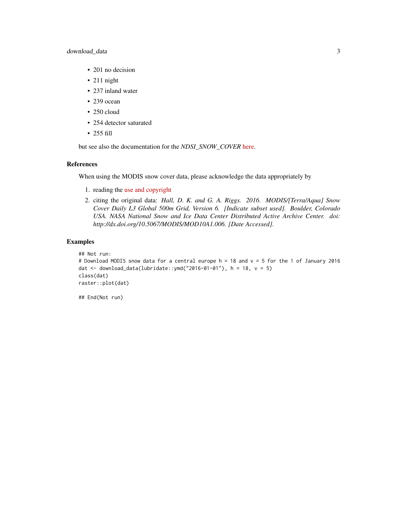#### download\_data 3

- 201 no decision
- 211 night
- 237 inland water
- 239 ocean
- 250 cloud
- 254 detector saturated
- 255 fill

but see also the documentation for the *NDSI\_SNOW\_COVER* [here.](http://nsidc.org/data/MOD10A1)

#### References

When using the MODIS snow cover data, please acknowledge the data appropriately by

- 1. reading the [use and copyright](http://nsidc.org/about/use_copyright.html)
- 2. citing the original data: *Hall, D. K. and G. A. Riggs. 2016. MODIS/[Terra/Aqua] Snow Cover Daily L3 Global 500m Grid, Version 6. [Indicate subset used]. Boulder, Colorado USA. NASA National Snow and Ice Data Center Distributed Active Archive Center. doi: http://dx.doi.org/10.5067/MODIS/MOD10A1.006. [Date Accessed].*

#### Examples

```
## Not run:
# Download MODIS snow data for a central europe h = 18 and v = 5 for the 1 of January 2016
dat <- download_data(lubridate::ymd("2016-01-01"), h = 18, v = 5)
class(dat)
raster::plot(dat)
```
## End(Not run)